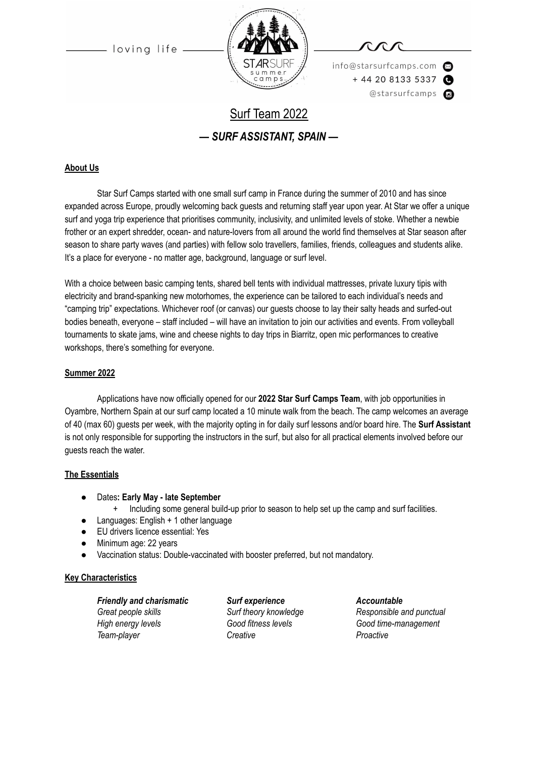

info@starsurfcamps.com  $+442081335337$ @starsurfcamps @

# Surf Team 2022 *— SURF ASSISTANT, SPAIN —*

#### **About Us**

Star Surf Camps started with one small surf camp in France during the summer of 2010 and has since expanded across Europe, proudly welcoming back guests and returning staff year upon year. At Star we offer a unique surf and yoga trip experience that prioritises community, inclusivity, and unlimited levels of stoke. Whether a newbie frother or an expert shredder, ocean- and nature-lovers from all around the world find themselves at Star season after season to share party waves (and parties) with fellow solo travellers, families, friends, colleagues and students alike. It's a place for everyone - no matter age, background, language or surf level.

With a choice between basic camping tents, shared bell tents with individual mattresses, private luxury tipis with electricity and brand-spanking new motorhomes, the experience can be tailored to each individual's needs and "camping trip" expectations. Whichever roof (or canvas) our guests choose to lay their salty heads and surfed-out bodies beneath, everyone – staff included – will have an invitation to join our activities and events. From volleyball tournaments to skate jams, wine and cheese nights to day trips in Biarritz, open mic performances to creative workshops, there's something for everyone.

#### **Summer 2022**

Applications have now officially opened for our **2022 Star Surf Camps Team**, with job opportunities in Oyambre, Northern Spain at our surf camp located a 10 minute walk from the beach. The camp welcomes an average of 40 (max 60) guests per week, with the majority opting in for daily surf lessons and/or board hire. The **Surf Assistant** is not only responsible for supporting the instructors in the surf, but also for all practical elements involved before our guests reach the water.

#### **The Essentials**

- Dates**: Early May late September**
	- + Including some general build-up prior to season to help set up the camp and surf facilities.
- Languages: English + 1 other language
- EU drivers licence essential: Yes
- Minimum age: 22 years
- Vaccination status: Double-vaccinated with booster preferred, but not mandatory.

#### **Key Characteristics**

*Friendly and charismatic Surf experience Accountable Great people skills Surf theory knowledge Responsible and punctual High energy levels Good fitness levels Good time-management Team-player Creative Proactive*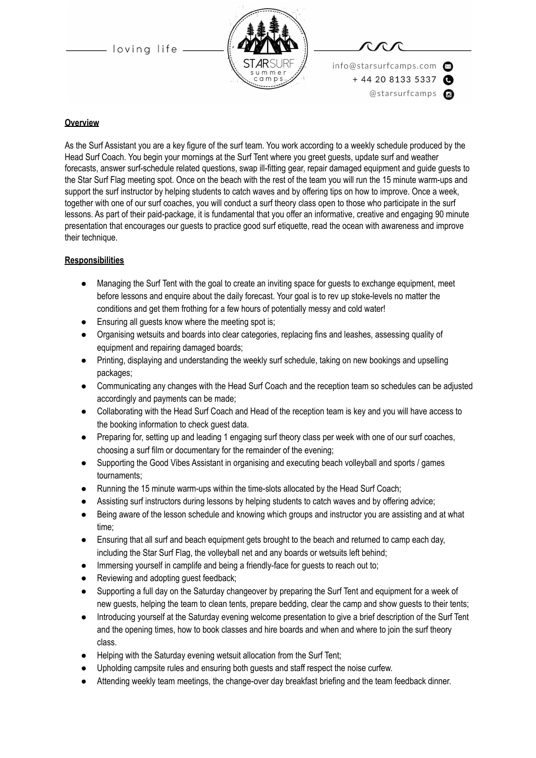

info@starsurfcamps.com  $+442081335337$ @starsurfcamps @

#### **Overview**

As the Surf Assistant you are a key figure of the surf team. You work according to a weekly schedule produced by the Head Surf Coach. You begin your mornings at the Surf Tent where you greet guests, update surf and weather forecasts, answer surf-schedule related questions, swap ill-fitting gear, repair damaged equipment and guide guests to the Star Surf Flag meeting spot. Once on the beach with the rest of the team you will run the 15 minute warm-ups and support the surf instructor by helping students to catch waves and by offering tips on how to improve. Once a week, together with one of our surf coaches, you will conduct a surf theory class open to those who participate in the surf lessons. As part of their paid-package, it is fundamental that you offer an informative, creative and engaging 90 minute presentation that encourages our guests to practice good surf etiquette, read the ocean with awareness and improve their technique.

#### **Responsibilities**

- Managing the Surf Tent with the goal to create an inviting space for guests to exchange equipment, meet before lessons and enquire about the daily forecast. Your goal is to rev up stoke-levels no matter the conditions and get them frothing for a few hours of potentially messy and cold water!
- Ensuring all guests know where the meeting spot is;
- Organising wetsuits and boards into clear categories, replacing fins and leashes, assessing quality of equipment and repairing damaged boards;
- Printing, displaying and understanding the weekly surf schedule, taking on new bookings and upselling packages;
- Communicating any changes with the Head Surf Coach and the reception team so schedules can be adjusted accordingly and payments can be made;
- Collaborating with the Head Surf Coach and Head of the reception team is key and you will have access to the booking information to check guest data.
- Preparing for, setting up and leading 1 engaging surf theory class per week with one of our surf coaches, choosing a surf film or documentary for the remainder of the evening;
- Supporting the Good Vibes Assistant in organising and executing beach volleyball and sports / games tournaments;
- Running the 15 minute warm-ups within the time-slots allocated by the Head Surf Coach;
- Assisting surf instructors during lessons by helping students to catch waves and by offering advice;
- Being aware of the lesson schedule and knowing which groups and instructor you are assisting and at what time;
- Ensuring that all surf and beach equipment gets brought to the beach and returned to camp each day, including the Star Surf Flag, the volleyball net and any boards or wetsuits left behind;
- Immersing yourself in camplife and being a friendly-face for guests to reach out to;
- Reviewing and adopting quest feedback;
- Supporting a full day on the Saturday changeover by preparing the Surf Tent and equipment for a week of new guests, helping the team to clean tents, prepare bedding, clear the camp and show guests to their tents;
- Introducing yourself at the Saturday evening welcome presentation to give a brief description of the Surf Tent and the opening times, how to book classes and hire boards and when and where to join the surf theory class.
- Helping with the Saturday evening wetsuit allocation from the Surf Tent;
- Upholding campsite rules and ensuring both guests and staff respect the noise curfew.
- Attending weekly team meetings, the change-over day breakfast briefing and the team feedback dinner.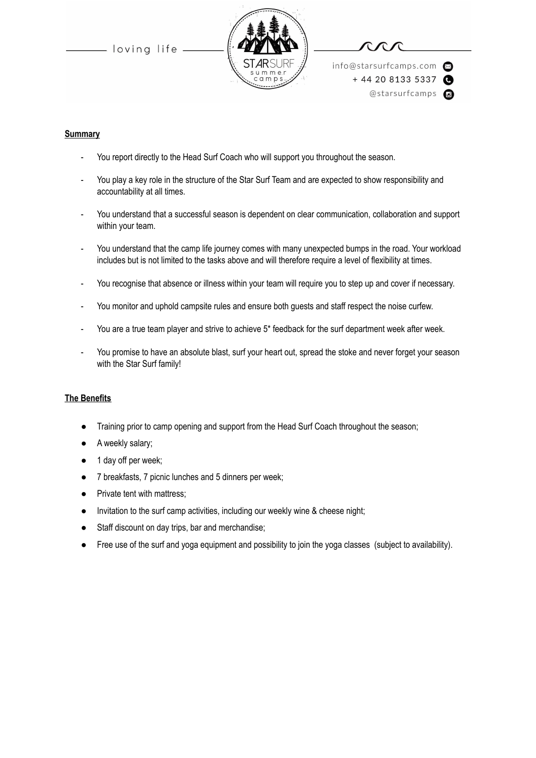

info@starsurfcamps.com  $+442081335337$ @starsurfcamps @

#### **Summary**

- You report directly to the Head Surf Coach who will support you throughout the season.
- You play a key role in the structure of the Star Surf Team and are expected to show responsibility and accountability at all times.
- You understand that a successful season is dependent on clear communication, collaboration and support within your team.
- You understand that the camp life journey comes with many unexpected bumps in the road. Your workload includes but is not limited to the tasks above and will therefore require a level of flexibility at times.
- You recognise that absence or illness within your team will require you to step up and cover if necessary.
- You monitor and uphold campsite rules and ensure both guests and staff respect the noise curfew.
- You are a true team player and strive to achieve 5\* feedback for the surf department week after week.
- You promise to have an absolute blast, surf your heart out, spread the stoke and never forget your season with the Star Surf family!

#### **The Benefits**

- Training prior to camp opening and support from the Head Surf Coach throughout the season;
- A weekly salary;
- 1 day off per week;
- 7 breakfasts, 7 picnic lunches and 5 dinners per week;
- Private tent with mattress;
- Invitation to the surf camp activities, including our weekly wine & cheese night;
- Staff discount on day trips, bar and merchandise;
- Free use of the surf and yoga equipment and possibility to join the yoga classes (subject to availability).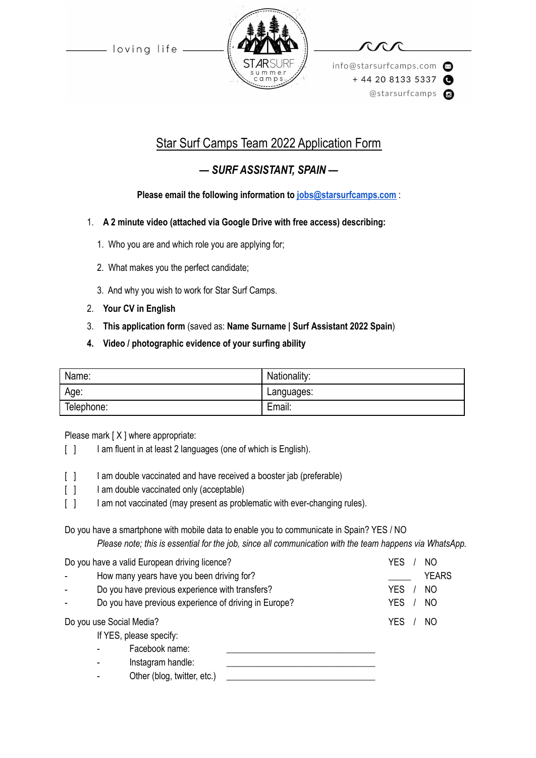

info@starsurfcamps.com  $+442081335337$ @starsurfcamps @

## Star Surf Camps Team 2022 Application Form

### *— SURF ASSISTANT, SPAIN —*

### **Please email the following information to [jobs@starsurfcamps.com](mailto:jobs@starsurfcamps.com)** :

- 1. **A 2 minute video (attached via Google Drive with free access) describing:**
	- 1️. Who you are and which role you are applying for;
	- 2. What makes you the perfect candidate;
	- 3️. And why you wish to work for Star Surf Camps.
- 2. **Your CV in English**
- 3. **This application form** (saved as: **Name Surname | Surf Assistant 2022 Spain**)
- **4. Video / photographic evidence of your surfing ability**

| Name:      | Nationality: |
|------------|--------------|
| Age:       | Languages:   |
| Telephone: | Email:       |

Please mark [X ] where appropriate:

- [ ] I am fluent in at least 2 languages (one of which is English).
- [ ] I am double vaccinated and have received a booster jab (preferable)
- [ ] I am double vaccinated only (acceptable)
- [ ] I am not vaccinated (may present as problematic with ever-changing rules).

Do you have a smartphone with mobile data to enable you to communicate in Spain? YES / NO

*Please note; this is essential for the job, since all communication with the team happens via WhatsApp.*

| Do you have a valid European driving licence? |                                                       | YES<br>NΟ        |
|-----------------------------------------------|-------------------------------------------------------|------------------|
|                                               | How many years have you been driving for?             | <b>YEARS</b>     |
|                                               | Do you have previous experience with transfers?       | <b>YES</b><br>NO |
|                                               | Do you have previous experience of driving in Europe? | <b>YES</b><br>NO |
| Do you use Social Media?                      |                                                       | <b>YES</b><br>NO |
| If YES, please specify:                       |                                                       |                  |
|                                               | Facebook name:                                        |                  |
|                                               | Instagram handle:                                     |                  |
|                                               | Other (blog, twitter, etc.)                           |                  |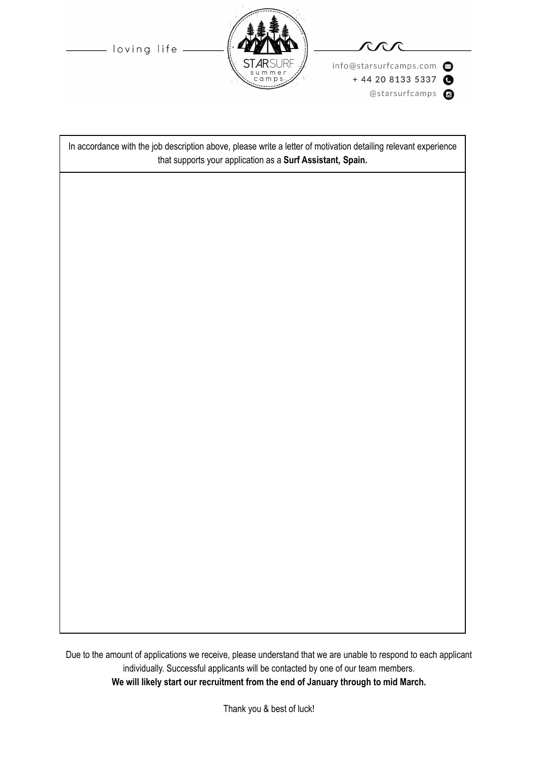info@starsurfcamps.com  $+ 442081335337$ @starsurfcamps @



- loving life -

In accordance with the job description above, please write a letter of motivation detailing relevant experience that supports your application as a **Surf Assistant, Spain.**

Due to the amount of applications we receive, please understand that we are unable to respond to each applicant individually. Successful applicants will be contacted by one of our team members. **We will likely start our recruitment from the end of January through to mid March.**

Thank you & best of luck!